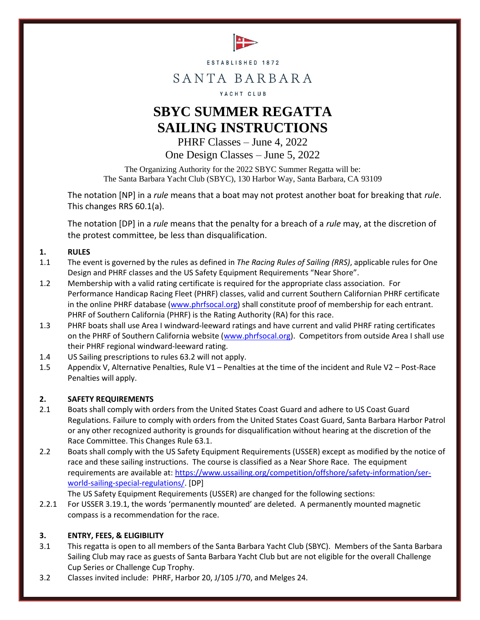

ESTABLISHED 1872

# SANTA BARBARA

### YACHT CLUB

# **SBYC SUMMER REGATTA SAILING INSTRUCTIONS**

PHRF Classes – June 4, 2022 One Design Classes – June 5, 2022

The Organizing Authority for the 2022 SBYC Summer Regatta will be: The Santa Barbara Yacht Club (SBYC), 130 Harbor Way, Santa Barbara, CA 93109

The notation [NP] in a *rule* means that a boat may not protest another boat for breaking that *rule*. This changes RRS 60.1(a).

The notation [DP] in a *rule* means that the penalty for a breach of a *rule* may, at the discretion of the protest committee, be less than disqualification.

### **1. RULES**

- 1.1 The event is governed by the rules as defined in *The Racing Rules of Sailing (RRS)*, applicable rules for One Design and PHRF classes and the US Safety Equipment Requirements "Near Shore".
- 1.2 Membership with a valid rating certificate is required for the appropriate class association. For Performance Handicap Racing Fleet (PHRF) classes, valid and current Southern Californian PHRF certificate in the online PHRF database [\(www.phrfsocal.org\)](http://www.phrfsocal.org/) shall constitute proof of membership for each entrant. PHRF of Southern California (PHRF) is the Rating Authority (RA) for this race.
- 1.3 PHRF boats shall use Area I windward-leeward ratings and have current and valid PHRF rating certificates on the PHRF of Southern California website [\(www.phrfsocal.org\)](http://www.phrfsocal.org/). Competitors from outside Area I shall use their PHRF regional windward-leeward rating.
- 1.4 US Sailing prescriptions to rules 63.2 will not apply.
- 1.5 Appendix V, Alternative Penalties, Rule V1 Penalties at the time of the incident and Rule V2 Post-Race Penalties will apply.

### **2. SAFETY REQUIREMENTS**

- 2.1 Boats shall comply with orders from the United States Coast Guard and adhere to US Coast Guard Regulations. Failure to comply with orders from the United States Coast Guard, Santa Barbara Harbor Patrol or any other recognized authority is grounds for disqualification without hearing at the discretion of the Race Committee. This Changes Rule 63.1.
- 2.2 Boats shall comply with the US Safety Equipment Requirements (USSER) except as modified by the notice of race and these sailing instructions. The course is classified as a Near Shore Race. The equipment requirements are available at: [https://www.ussailing.org/competition/offshore/safety-information/ser](https://www.ussailing.org/competition/offshore/safety-information/ser-world-sailing-special-regulations/)[world-sailing-special-regulations/.](https://www.ussailing.org/competition/offshore/safety-information/ser-world-sailing-special-regulations/) [DP]

The US Safety Equipment Requirements (USSER) are changed for the following sections:

2.2.1 For USSER 3.19.1, the words 'permanently mounted' are deleted. A permanently mounted magnetic compass is a recommendation for the race.

### **3. ENTRY, FEES, & ELIGIBILITY**

- 3.1 This regatta is open to all members of the Santa Barbara Yacht Club (SBYC). Members of the Santa Barbara Sailing Club may race as guests of Santa Barbara Yacht Club but are not eligible for the overall Challenge Cup Series or Challenge Cup Trophy.
- 3.2 Classes invited include: PHRF, Harbor 20, J/105 J/70, and Melges 24.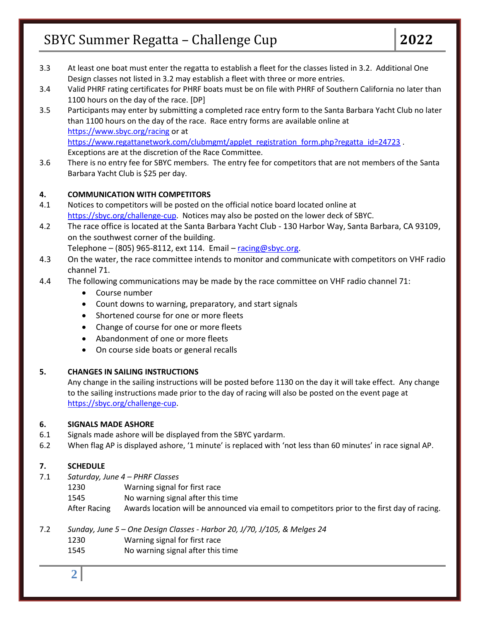- 3.3 At least one boat must enter the regatta to establish a fleet for the classes listed in 3.2. Additional One Design classes not listed in 3.2 may establish a fleet with three or more entries.
- 3.4 Valid PHRF rating certificates for PHRF boats must be on file with PHRF of Southern California no later than 1100 hours on the day of the race. [DP]
- 3.5 Participants may enter by submitting a completed race entry form to the Santa Barbara Yacht Club no later than 1100 hours on the day of the race. Race entry forms are available online at <https://www.sbyc.org/racing> or at [https://www.regattanetwork.com/clubmgmt/applet\\_registration\\_form.php?regatta\\_id=24723](https://www.regattanetwork.com/clubmgmt/applet_registration_form.php?regatta_id=24723) . Exceptions are at the discretion of the Race Committee.
- 3.6 There is no entry fee for SBYC members. The entry fee for competitors that are not members of the Santa Barbara Yacht Club is \$25 per day.

# **4. COMMUNICATION WITH COMPETITORS**

- 4.1 Notices to competitors will be posted on the official notice board located online at [https://sbyc.org/challenge-cup.](https://sbyc.org/challenge-cup) Notices may also be posted on the lower deck of SBYC.
- 4.2 The race office is located at the Santa Barbara Yacht Club 130 Harbor Way, Santa Barbara, CA 93109, on the southwest corner of the building.

Telephone – (805) 965-8112, ext 114. Email –  $racing@sbyc.org$ .

- 4.3 On the water, the race committee intends to monitor and communicate with competitors on VHF radio channel 71.
- 4.4 The following communications may be made by the race committee on VHF radio channel 71:
	- Course number
	- Count downs to warning, preparatory, and start signals
	- Shortened course for one or more fleets
	- Change of course for one or more fleets
	- Abandonment of one or more fleets
	- On course side boats or general recalls

### **5. CHANGES IN SAILING INSTRUCTIONS**

Any change in the sailing instructions will be posted before 1130 on the day it will take effect. Any change to the sailing instructions made prior to the day of racing will also be posted on the event page at [https://sbyc.org/challenge-cup.](https://sbyc.org/challenge-cup)

### **6. SIGNALS MADE ASHORE**

- 6.1 Signals made ashore will be displayed from the SBYC yardarm.
- 6.2 When flag AP is displayed ashore, '1 minute' is replaced with 'not less than 60 minutes' in race signal AP.

# **7. SCHEDULE**

- 7.1 *Saturday, June 4 – PHRF Classes*
	- 1230 Warning signal for first race
	- 1545 No warning signal after this time
	- After Racing Awards location will be announced via email to competitors prior to the first day of racing.
- 7.2 *Sunday, June 5 – One Design Classes - Harbor 20, J/70, J/105, & Melges 24* 1230 Warning signal for first race
	- 1545 No warning signal after this time

**2**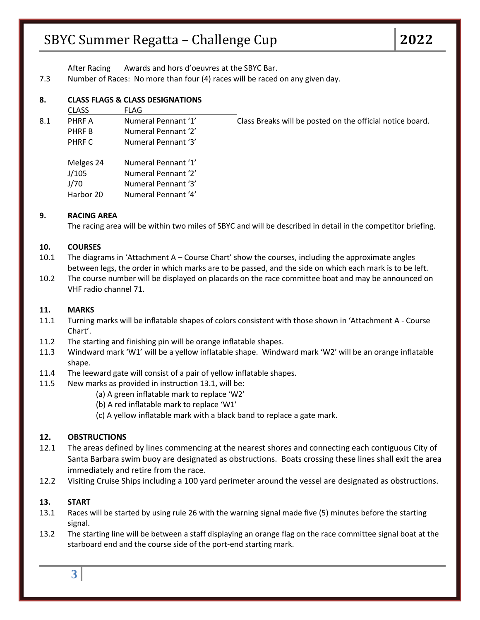After Racing Awards and hors d'oeuvres at the SBYC Bar.

7.3 Number of Races: No more than four (4) races will be raced on any given day.

### **8. CLASS FLAGS & CLASS DESIGNATIONS**

|     | <b>CLASS</b>                            | <b>FLAG</b>                                                                              |                                                           |
|-----|-----------------------------------------|------------------------------------------------------------------------------------------|-----------------------------------------------------------|
| 8.1 | PHRF A                                  | Numeral Pennant '1'                                                                      | Class Breaks will be posted on the official notice board. |
|     | PHRF B                                  | Numeral Pennant '2'                                                                      |                                                           |
|     | PHRF C                                  | Numeral Pennant '3'                                                                      |                                                           |
|     | Melges 24<br>J/105<br>J/70<br>Harbor 20 | Numeral Pennant '1'<br>Numeral Pennant '2'<br>Numeral Pennant '3'<br>Numeral Pennant '4' |                                                           |

### **9. RACING AREA**

The racing area will be within two miles of SBYC and will be described in detail in the competitor briefing.

### **10. COURSES**

- 10.1 The diagrams in 'Attachment A Course Chart' show the courses, including the approximate angles between legs, the order in which marks are to be passed, and the side on which each mark is to be left.
- 10.2 The course number will be displayed on placards on the race committee boat and may be announced on VHF radio channel 71.

#### **11. MARKS**

- 11.1 Turning marks will be inflatable shapes of colors consistent with those shown in 'Attachment A Course Chart'.
- 11.2 The starting and finishing pin will be orange inflatable shapes.
- 11.3 Windward mark 'W1' will be a yellow inflatable shape. Windward mark 'W2' will be an orange inflatable shape.
- 11.4 The leeward gate will consist of a pair of yellow inflatable shapes.
- 11.5 New marks as provided in instruction 13.1, will be:
	- (a) A green inflatable mark to replace 'W2'
	- (b) A red inflatable mark to replace 'W1'
	- (c) A yellow inflatable mark with a black band to replace a gate mark.

### **12. OBSTRUCTIONS**

- 12.1 The areas defined by lines commencing at the nearest shores and connecting each contiguous City of Santa Barbara swim buoy are designated as obstructions. Boats crossing these lines shall exit the area immediately and retire from the race.
- 12.2 Visiting Cruise Ships including a 100 yard perimeter around the vessel are designated as obstructions.

#### **13. START**

- 13.1 Races will be started by using rule 26 with the warning signal made five (5) minutes before the starting signal.
- 13.2 The starting line will be between a staff displaying an orange flag on the race committee signal boat at the starboard end and the course side of the port-end starting mark.

**3**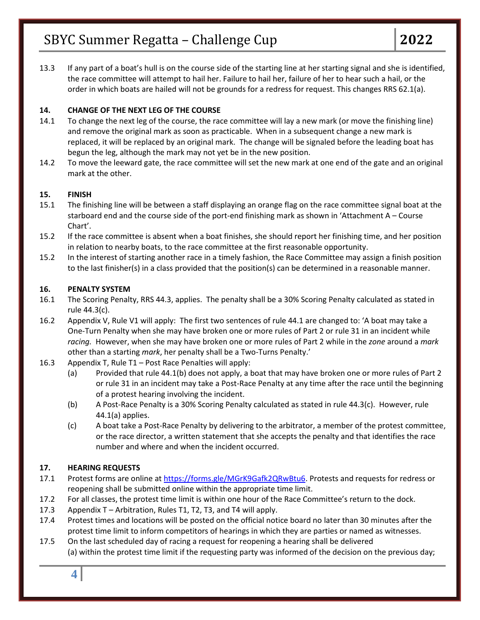13.3 If any part of a boat's hull is on the course side of the starting line at her starting signal and she is identified, the race committee will attempt to hail her. Failure to hail her, failure of her to hear such a hail, or the order in which boats are hailed will not be grounds for a redress for request. This changes RRS 62.1(a).

### **14. CHANGE OF THE NEXT LEG OF THE COURSE**

- 14.1 To change the next leg of the course, the race committee will lay a new mark (or move the finishing line) and remove the original mark as soon as practicable. When in a subsequent change a new mark is replaced, it will be replaced by an original mark. The change will be signaled before the leading boat has begun the leg, although the mark may not yet be in the new position.
- 14.2 To move the leeward gate, the race committee will set the new mark at one end of the gate and an original mark at the other.

### **15. FINISH**

- 15.1 The finishing line will be between a staff displaying an orange flag on the race committee signal boat at the starboard end and the course side of the port-end finishing mark as shown in 'Attachment A – Course Chart'.
- 15.2 If the race committee is absent when a boat finishes, she should report her finishing time, and her position in relation to nearby boats, to the race committee at the first reasonable opportunity.
- 15.2 In the interest of starting another race in a timely fashion, the Race Committee may assign a finish position to the last finisher(s) in a class provided that the position(s) can be determined in a reasonable manner.

### **16. PENALTY SYSTEM**

- 16.1 The Scoring Penalty, RRS 44.3, applies. The penalty shall be a 30% Scoring Penalty calculated as stated in rule 44.3(c).
- 16.2 Appendix V, Rule V1 will apply: The first two sentences of rule 44.1 are changed to: 'A boat may take a One-Turn Penalty when she may have broken one or more rules of Part 2 or rule 31 in an incident while *racing.* However, when she may have broken one or more rules of Part 2 while in the *zone* around a *mark* other than a starting *mark*, her penalty shall be a Two-Turns Penalty.'
- 16.3 Appendix T, Rule T1 Post Race Penalties will apply:
	- (a) Provided that rule 44.1(b) does not apply, a boat that may have broken one or more rules of Part 2 or rule 31 in an incident may take a Post-Race Penalty at any time after the race until the beginning of a protest hearing involving the incident.
	- (b) A Post-Race Penalty is a 30% Scoring Penalty calculated as stated in rule 44.3(c). However, rule 44.1(a) applies.
	- (c) A boat take a Post-Race Penalty by delivering to the arbitrator, a member of the protest committee, or the race director, a written statement that she accepts the penalty and that identifies the race number and where and when the incident occurred.

### **17. HEARING REQUESTS**

- 17.1 Protest forms are online at [https://forms.gle/MGrK9Gafk2QRwBtu6.](https://forms.gle/MGrK9Gafk2QRwBtu6) Protests and requests for redress or reopening shall be submitted online within the appropriate time limit.
- 17.2 For all classes, the protest time limit is within one hour of the Race Committee's return to the dock.
- 17.3 Appendix T Arbitration, Rules T1, T2, T3, and T4 will apply.
- 17.4 Protest times and locations will be posted on the official notice board no later than 30 minutes after the protest time limit to inform competitors of hearings in which they are parties or named as witnesses.
- 17.5 On the last scheduled day of racing a request for reopening a hearing shall be delivered (a) within the protest time limit if the requesting party was informed of the decision on the previous day;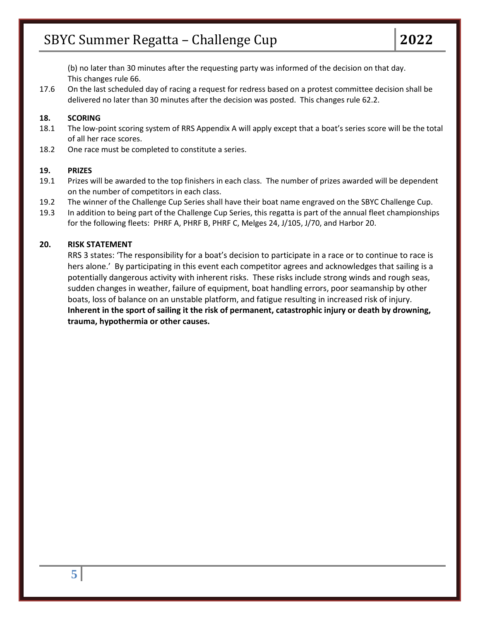(b) no later than 30 minutes after the requesting party was informed of the decision on that day. This changes rule 66.

17.6 On the last scheduled day of racing a request for redress based on a protest committee decision shall be delivered no later than 30 minutes after the decision was posted. This changes rule 62.2.

#### **18. SCORING**

- 18.1 The low-point scoring system of RRS Appendix A will apply except that a boat's series score will be the total of all her race scores.
- 18.2 One race must be completed to constitute a series.

#### **19. PRIZES**

- 19.1 Prizes will be awarded to the top finishers in each class. The number of prizes awarded will be dependent on the number of competitors in each class.
- 19.2 The winner of the Challenge Cup Series shall have their boat name engraved on the SBYC Challenge Cup.
- 19.3 In addition to being part of the Challenge Cup Series, this regatta is part of the annual fleet championships for the following fleets: PHRF A, PHRF B, PHRF C, Melges 24, J/105, J/70, and Harbor 20.

#### **20. RISK STATEMENT**

RRS 3 states: 'The responsibility for a boat's decision to participate in a race or to continue to race is hers alone.' By participating in this event each competitor agrees and acknowledges that sailing is a potentially dangerous activity with inherent risks. These risks include strong winds and rough seas, sudden changes in weather, failure of equipment, boat handling errors, poor seamanship by other boats, loss of balance on an unstable platform, and fatigue resulting in increased risk of injury. **Inherent in the sport of sailing it the risk of permanent, catastrophic injury or death by drowning, trauma, hypothermia or other causes.**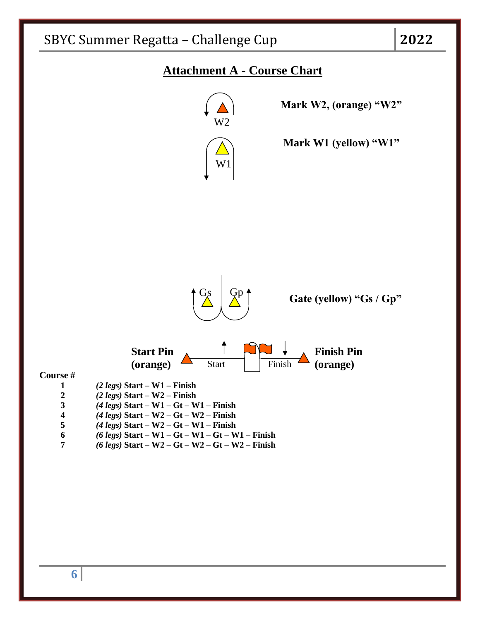

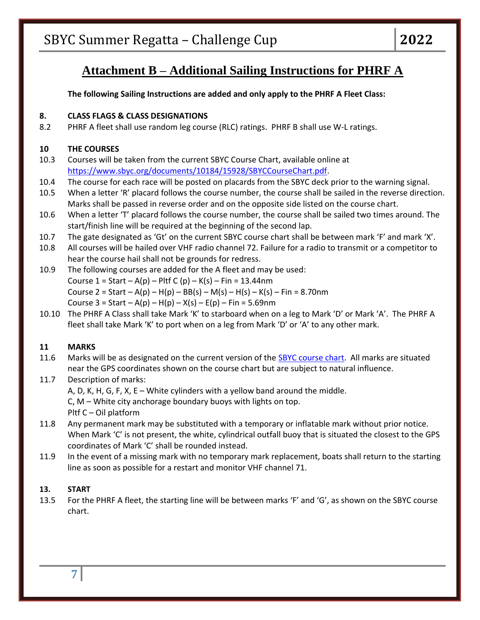# **Attachment B – Additional Sailing Instructions for PHRF A**

**The following Sailing Instructions are added and only apply to the PHRF A Fleet Class:**

# **8. CLASS FLAGS & CLASS DESIGNATIONS**

8.2 PHRF A fleet shall use random leg course (RLC) ratings. PHRF B shall use W-L ratings.

# **10 THE COURSES**

- 10.3 Courses will be taken from the current SBYC Course Chart, available online at [https://www.sbyc.org/documents/10184/15928/SBYCCourseChart.pdf.](https://www.sbyc.org/documents/10184/15928/SBYCCourseChart.pdf)
- 10.4 The course for each race will be posted on placards from the SBYC deck prior to the warning signal.
- 10.5 When a letter 'R' placard follows the course number, the course shall be sailed in the reverse direction. Marks shall be passed in reverse order and on the opposite side listed on the course chart.
- 10.6 When a letter 'T' placard follows the course number, the course shall be sailed two times around. The start/finish line will be required at the beginning of the second lap.
- 10.7 The gate designated as 'Gt' on the current SBYC course chart shall be between mark 'F' and mark 'X'.
- 10.8 All courses will be hailed over VHF radio channel 72. Failure for a radio to transmit or a competitor to hear the course hail shall not be grounds for redress.
- 10.9 The following courses are added for the A fleet and may be used: Course  $1 = Start - A(p) - Pltf C(p) - K(s) - Fin = 13.44nm$ Course 2 = Start – A(p) – H(p) – BB(s) – M(s) – H(s) – K(s) – Fin = 8.70nm Course  $3 = Start - A(p) - H(p) - X(s) - E(p) - Fin = 5.69nm$
- 10.10 The PHRF A Class shall take Mark 'K' to starboard when on a leg to Mark 'D' or Mark 'A'. The PHRF A fleet shall take Mark 'K' to port when on a leg from Mark 'D' or 'A' to any other mark.

# **11 MARKS**

- 11.6 Marks will be as designated on the current version of the [SBYC course chart.](https://www.sbyc.org/documents/10184/15928/SBYCCourseChart.pdf) All marks are situated near the GPS coordinates shown on the course chart but are subject to natural influence.
- 11.7 Description of marks: A, D, K, H, G, F, X, E – White cylinders with a yellow band around the middle. C, M – White city anchorage boundary buoys with lights on top. Pltf C – Oil platform
- 11.8 Any permanent mark may be substituted with a temporary or inflatable mark without prior notice. When Mark 'C' is not present, the white, cylindrical outfall buoy that is situated the closest to the GPS coordinates of Mark 'C' shall be rounded instead.
- 11.9 In the event of a missing mark with no temporary mark replacement, boats shall return to the starting line as soon as possible for a restart and monitor VHF channel 71.

# **13. START**

13.5 For the PHRF A fleet, the starting line will be between marks 'F' and 'G', as shown on the SBYC course chart.